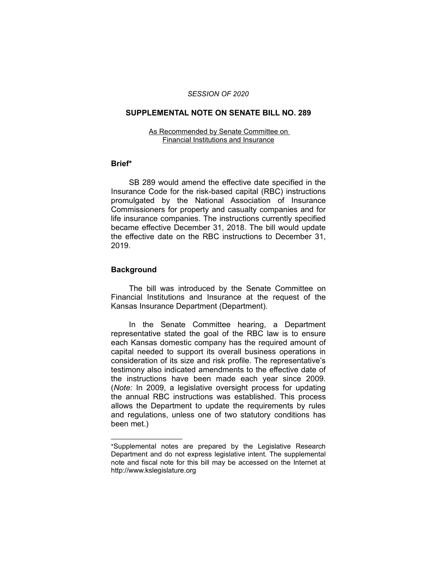#### *SESSION OF 2020*

## **SUPPLEMENTAL NOTE ON SENATE BILL NO. 289**

#### As Recommended by Senate Committee on Financial Institutions and Insurance

### **Brief\***

SB 289 would amend the effective date specified in the Insurance Code for the risk-based capital (RBC) instructions promulgated by the National Association of Insurance Commissioners for property and casualty companies and for life insurance companies. The instructions currently specified became effective December 31, 2018. The bill would update the effective date on the RBC instructions to December 31, 2019.

# **Background**

 $\overline{\phantom{a}}$  , where  $\overline{\phantom{a}}$ 

The bill was introduced by the Senate Committee on Financial Institutions and Insurance at the request of the Kansas Insurance Department (Department).

In the Senate Committee hearing, a Department representative stated the goal of the RBC law is to ensure each Kansas domestic company has the required amount of capital needed to support its overall business operations in consideration of its size and risk profile. The representative's testimony also indicated amendments to the effective date of the instructions have been made each year since 2009. (*Note:* In 2009, a legislative oversight process for updating the annual RBC instructions was established. This process allows the Department to update the requirements by rules and regulations, unless one of two statutory conditions has been met.)

<sup>\*</sup>Supplemental notes are prepared by the Legislative Research Department and do not express legislative intent. The supplemental note and fiscal note for this bill may be accessed on the Internet at http://www.kslegislature.org